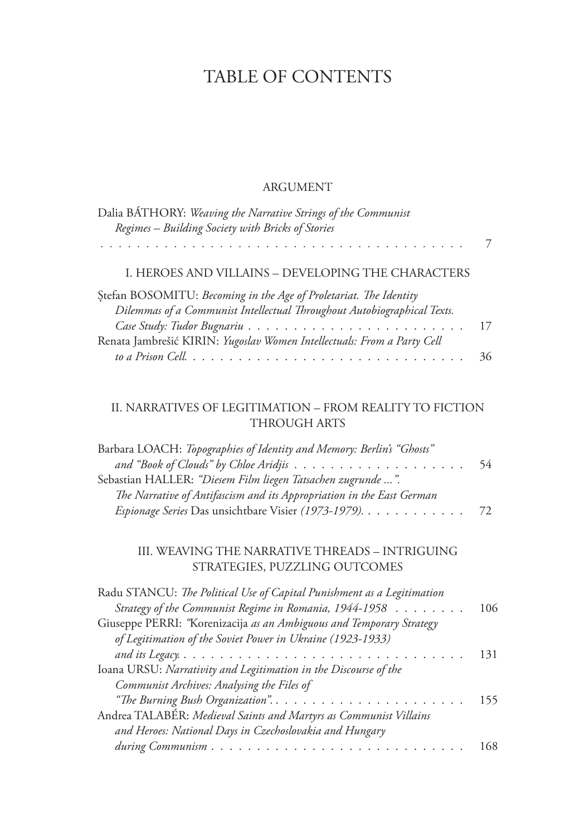## TABLE OF CONTENTS

## ARGUMENT

| Dalia BÁTHORY: Weaving the Narrative Strings of the Communist<br>Regimes - Building Society with Bricks of Stories                                                                                                                                                     |          |
|------------------------------------------------------------------------------------------------------------------------------------------------------------------------------------------------------------------------------------------------------------------------|----------|
|                                                                                                                                                                                                                                                                        | 7        |
| I. HEROES AND VILLAINS - DEVELOPING THE CHARACTERS                                                                                                                                                                                                                     |          |
| Stefan BOSOMITU: Becoming in the Age of Proletariat. The Identity<br>Dilemmas of a Communist Intellectual Throughout Autobiographical Texts.<br>Renata Jambrešić KIRIN: Yugoslav Women Intellectuals: From a Party Cell                                                | 17<br>36 |
| II. NARRATIVES OF LEGITIMATION - FROM REALITY TO FICTION<br><b>THROUGH ARTS</b>                                                                                                                                                                                        |          |
| Barbara LOACH: Topographies of Identity and Memory: Berlin's "Ghosts"<br>Sebastian HALLER: "Diesem Film liegen Tatsachen zugrunde ".                                                                                                                                   | 54       |
| The Narrative of Antifascism and its Appropriation in the East German<br>Espionage Series Das unsichtbare Visier (1973-1979).                                                                                                                                          | 72       |
| III. WEAVING THE NARRATIVE THREADS - INTRIGUING<br>STRATEGIES, PUZZLING OUTCOMES                                                                                                                                                                                       |          |
| Radu STANCU: The Political Use of Capital Punishment as a Legitimation<br>Strategy of the Communist Regime in Romania, 1944-1958<br>Giuseppe PERRI: "Korenizacija as an Ambiguous and Temporary Strategy<br>of Legitimation of the Soviet Power in Ukraine (1923-1933) | 106      |
| Ioana URSU: Narrativity and Legitimation in the Discourse of the<br>Communist Archives: Analysing the Files of                                                                                                                                                         | 131      |
| "The Burning Bush Organization".<br>Andrea TALABÉR: Medieval Saints and Martyrs as Communist Villains                                                                                                                                                                  | 155      |
| and Heroes: National Days in Czechoslovakia and Hungary                                                                                                                                                                                                                | 168      |